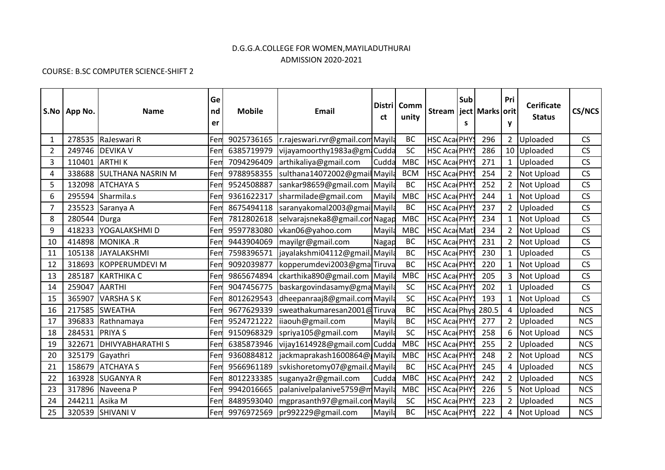## D.G.G.A.COLLEGE FOR WOMEN,MAYILADUTHURAI ADMISSION 2020-2021

## COURSE: B.SC COMPUTER SCIENCE-SHIFT 2

|                | S.No   App No. | <b>Name</b>              | Ge<br>nd<br>er | <b>Mobile</b> | Email                           | ct     | Distri   Comm<br>unity | <b>Stream</b>       | Sub<br>S | ject   Marks   orit | Pri<br>y       | <b>Cerificate</b><br><b>Status</b> | <b>CS/NCS</b> |
|----------------|----------------|--------------------------|----------------|---------------|---------------------------------|--------|------------------------|---------------------|----------|---------------------|----------------|------------------------------------|---------------|
| $\mathbf{1}$   |                | 278535 RaJeswari R       | Fen            | 9025736165    | r.rajeswari.rvr@gmail.comMayila |        | BC                     | HSC Aca PHYS        |          | 296                 | $2^{\circ}$    | Uploaded                           | CS            |
| $\overline{2}$ |                | 249746 DEVIKA V          | Fen            | 6385719979    | vijayamoorthy1983a@gm Cudda     |        | SC                     | <b>HSC AcadPHYS</b> |          | 286                 |                | 10 Uploaded                        | CS            |
| $\overline{3}$ |                | 110401 ARTHI K           | Fen            | 7094296409    | arthikaliya@gmail.com           | Cudda  | <b>MBC</b>             | HSC Aca PHYS        |          | 271                 | $\mathbf{1}$   | Uploaded                           | CS            |
| 4              |                | 338688 SULTHANA NASRIN M | Fen            | 9788958355    | sulthana14072002@gmailMayila    |        | <b>BCM</b>             | HSC Aca PHYS        |          | 254                 | 2              | Not Upload                         | CS            |
| 5              |                | 132098 ATCHAYA S         | Fen            | 9524508887    | sankar98659@gmail.com Mayila    |        | <b>BC</b>              | <b>HSC AcarPHYS</b> |          | 252                 | $\overline{2}$ | <b>Not Upload</b>                  | CS            |
| 6              |                | 295594 Sharmila.s        | Fen            | 9361622317    | sharmilade@gmail.com            | Mayila | <b>MBC</b>             | <b>HSC AcadPHYS</b> |          | 244                 | $\mathbf{1}$   | Not Upload                         | CS            |
| 7              |                | 235523 Saranya A         | Fen            | 8675494118    | saranyakomal2003@gmailMayila    |        | <b>BC</b>              | <b>HSC AcarPHYS</b> |          | 237                 | $\overline{2}$ | Uploaded                           | CS            |
| 8              | 280544 Durga   |                          | Fen            | 7812802618    | selvarajsneka8@gmail.conNagap   |        | <b>MBC</b>             | HSC Aca PHYS        |          | 234                 | $\mathbf{1}$   | Not Upload                         | CS            |
| 9              |                | 418233 YOGALAKSHMID      | Fen            | 9597783080    | vkan06@yahoo.com                | Mayila | <b>MBC</b>             | <b>HSC AcarMatl</b> |          | 234                 | 2              | <b>Not Upload</b>                  | CS            |
| 10             |                | 414898 MONIKA .R         | Fen            | 9443904069    | mayilgr@gmail.com               | Nagap  | BC                     | <b>HSC AcarPHYS</b> |          | 231                 | $\overline{2}$ | Not Upload                         | CS            |
| 11             |                | 105138 JAYALAKSHMI       | Fen            | 7598396571    | jayalakshmi04112@gmail.Mayila   |        | BC                     | <b>HSC AcadPHYS</b> |          | 230                 | 1              | Uploaded                           | CS            |
| 12             |                | 318693 KOPPERUMDEVI M    | Fen            | 9092039877    | kopperumdevi2003@gmaTiruva      |        | <b>BC</b>              | <b>HSC AcarPHYS</b> |          | 220                 | $\mathbf{1}$   | Not Upload                         | CS            |
| 13             |                | 285187 KARTHIKA C        | Fen            | 9865674894    | ckarthika890@gmail.com Mayila   |        | <b>MBC</b>             | <b>HSC AcadPHYS</b> |          | 205                 | 3              | Not Upload                         | CS            |
| 14             | 259047 AARTHI  |                          | Fen            | 9047456775    | baskargovindasamy@gmaMayila     |        | <b>SC</b>              | <b>HSC AcadPHYS</b> |          | 202                 | $\mathbf{1}$   | Uploaded                           | CS            |
| 15             | 365907         | VARSHA S K               | Fen            | 8012629543    | dheepanraaj8@gmail.comMayila    |        | SC                     | <b>HSC Aca PHYS</b> |          | 193                 | $\mathbf{1}$   | Not Upload                         | CS            |
| 16             |                | 217585 SWEATHA           | Fen            | 9677629339    | sweathakumaresan2001@Tiruva     |        | <b>BC</b>              | HSC Aca Phys 280.5  |          |                     | 4              | Uploaded                           | <b>NCS</b>    |
| 17             |                | 396833 Rathnamaya        | Fen            | 9524721222    | lijaouh@gmail.com               | Mayila | <b>BC</b>              | <b>HSC AcadPHYS</b> |          | 277                 | $\overline{2}$ | Uploaded                           | <b>NCS</b>    |
| 18             | 284531 PRIYA S |                          | Fen            | 9150968329    | spriya105@gmail.com             | Mayila | <b>SC</b>              | HSC Aca PHYS        |          | 258                 | 6              | Not Upload                         | <b>NCS</b>    |
| 19             |                | 322671 DHIVYABHARATHI S  | Fen            | 6385873946    | vijay1614928@gmail.com Cudda    |        | <b>MBC</b>             | <b>HSC AcarPHYS</b> |          | 255                 | 2              | Uploaded                           | <b>NCS</b>    |
| 20             |                | 325179 Gayathri          | Fen            | 9360884812    | jackmaprakash1600864@ Mayila    |        | <b>MBC</b>             | <b>HSC AcarPHYS</b> |          | 248                 | $\overline{2}$ | Not Upload                         | <b>NCS</b>    |
| 21             |                | 158679 ATCHAYA S         | Fen            | 9566961189    | svkishoretomy07@gmail.dMayila   |        | <b>BC</b>              | <b>HSC AcadPHYS</b> |          | 245                 | 4              | Uploaded                           | <b>NCS</b>    |
| 22             |                | 163928 SUGANYA R         | Fen            | 8012233385    | suganya2r@gmail.com             | Cudda  | <b>MBC</b>             | HSC Aca PHYS        |          | 242                 | $\overline{2}$ | Uploaded                           | <b>NCS</b>    |
| 23             |                | 317896 Naveena P         | Fen            | 9942016665    | palanivelpalanive5759@mMayila   |        | <b>MBC</b>             | HSC Aca PHYS        |          | 226                 | 5              | <b>Not Upload</b>                  | <b>NCS</b>    |
| 24             | 244211 Asika M |                          | Fen            | 8489593040    | mgprasanth97@gmail.conMayila    |        | <b>SC</b>              | <b>HSC AcarPHYS</b> |          | 223                 | $\overline{2}$ | Uploaded                           | <b>NCS</b>    |
| 25             |                | 320539 SHIVANI V         | Fem            |               | 9976972569  pr992229@gmail.com  | Mayila | <b>BC</b>              | <b>HSC AcadPHYS</b> |          | 222                 | 4              | Not Upload                         | <b>NCS</b>    |